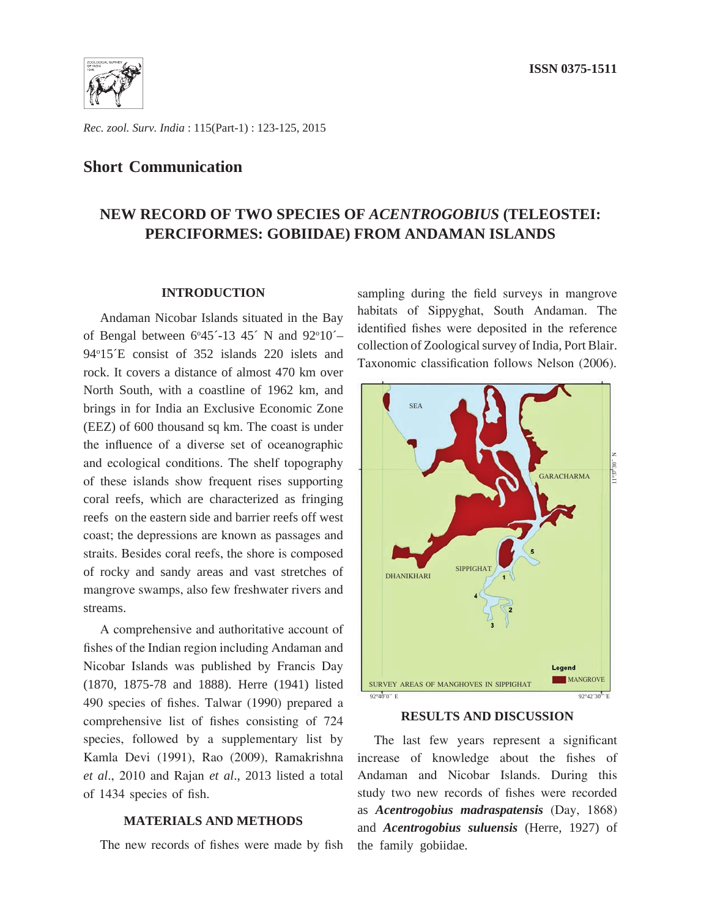

*Rec. zool. Surv. India* : 115(Part-1) : 123-125, 2015

# **Short Communication**

# **NEW RECORD OF TWO SPECIES OF** *ACENTROGOBIUS* **(TELEOSTEI: PERCIFORMES: GOBIIDAE) FROM ANDAMAN ISLANDS**

#### **INTRODUCTION**

Andaman Nicobar Islands situated in the Bay of Bengal between  $6^{\circ}45'$ -13 45<sup> $\circ$ </sup> N and 92<sup>°</sup>10<sup> $\sim$ </sup> 94o 15´E consist of 352 islands 220 islets and rock. It covers a distance of almost 470 km over North South, with a coastline of 1962 km, and brings in for India an Exclusive Economic Zone (EEZ) of 600 thousand sq km. The coast is under the influence of a diverse set of oceanographic and ecological conditions. The shelf topography of these islands show frequent rises supporting coral reefs, which are characterized as fringing reefs on the eastern side and barrier reefs off west coast; the depressions are known as passages and straits. Besides coral reefs, the shore is composed of rocky and sandy areas and vast stretches of mangrove swamps, also few freshwater rivers and streams.

A comprehensive and authoritative account of fishes of the Indian region including Andaman and Nicobar Islands was published by Francis Day (1870, 1875-78 and 1888). Herre (1941) listed 490 species of fishes. Talwar (1990) prepared a comprehensive list of fishes consisting of 724 species, followed by a supplementary list by Kamla Devi (1991), Rao (2009), Ramakrishna *et al*., 2010 and Rajan *et al*., 2013 listed a total of 1434 species of fish.

## **MATERIALS AND METHODS**

The new records of fishes were made by fish

sampling during the field surveys in mangrove habitats of Sippyghat, South Andaman. The identified fishes were deposited in the reference collection of Zoological survey of India, Port Blair. Taxonomic classification follows Nelson (2006).



#### **RESULTS AND DISCUSSION**

The last few years represent a significant increase of knowledge about the fishes of Andaman and Nicobar Islands. During this study two new records of fishes were recorded as *Acentrogobius madraspatensis* (Day, 1868) and *Acentrogobius suluensis* (Herre, 1927) of the family gobiidae.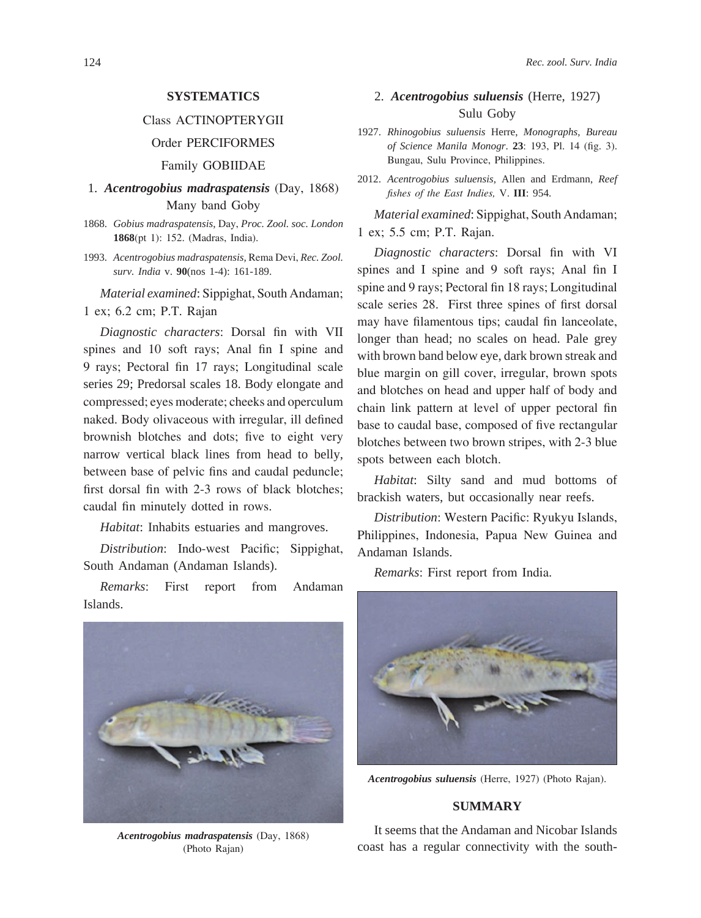### **SYSTEMATICS**

## Class ACTINOPTERYGII

### Order PERCIFORMES

Family GOBIIDAE

# 1. *Acentrogobius madraspatensis* (Day, 1868) Many band Goby

- 1868. *Gobius madraspatensis*, Day, *Proc. Zool. soc. London* **1868**(pt 1): 152. (Madras, India).
- 1993. *Acentrogobius madraspatensis,* Rema Devi, *Rec. Zool. surv. India* v. **90**(nos 1-4): 161-189.

*Material examined*: Sippighat, South Andaman; 1 ex; 6.2 cm; P.T. Rajan

*Diagnostic characters*: Dorsal fin with VII spines and 10 soft rays; Anal fin I spine and 9 rays; Pectoral fin 17 rays; Longitudinal scale series 29; Predorsal scales 18. Body elongate and compressed; eyes moderate; cheeks and operculum naked. Body olivaceous with irregular, ill defined brownish blotches and dots; five to eight very narrow vertical black lines from head to belly, between base of pelvic fins and caudal peduncle; first dorsal fin with 2-3 rows of black blotches; caudal fin minutely dotted in rows.

*Habitat*: Inhabits estuaries and mangroves.

*Distribution*: Indo-west Pacific; Sippighat, South Andaman (Andaman Islands).

*Remarks*: First report from Andaman Islands.



*Acentrogobius madraspatensis* (Day, 1868) (Photo Rajan)

# 2. *Acentrogobius suluensis* (Herre, 1927) Sulu Goby

- 1927. *Rhinogobius suluensis* Herre, *Monographs, Bureau of Science Manila Monogr*. **23**: 193, Pl. 14 (fig. 3). Bungau, Sulu Province, Philippines.
- 2012. *Acentrogobius suluensis,* Allen and Erdmann, *Reef fishes of the East Indies,* V. **III**: 954.

*Material examined*: Sippighat, South Andaman; 1 ex; 5.5 cm; P.T. Rajan.

*Diagnostic characters*: Dorsal fin with VI spines and I spine and 9 soft rays; Anal fin I spine and 9 rays; Pectoral fin 18 rays; Longitudinal scale series 28. First three spines of first dorsal may have filamentous tips; caudal fin lanceolate, longer than head; no scales on head. Pale grey with brown band below eye, dark brown streak and blue margin on gill cover, irregular, brown spots and blotches on head and upper half of body and chain link pattern at level of upper pectoral fin base to caudal base, composed of five rectangular blotches between two brown stripes, with 2-3 blue spots between each blotch.

*Habitat*: Silty sand and mud bottoms of brackish waters, but occasionally near reefs.

*Distribution*: Western Pacific: Ryukyu Islands, Philippines, Indonesia, Papua New Guinea and Andaman Islands.

*Remarks*: First report from India.



*Acentrogobius suluensis* (Herre, 1927) (Photo Rajan).

#### **SUMMARY**

It seems that the Andaman and Nicobar Islands coast has a regular connectivity with the south